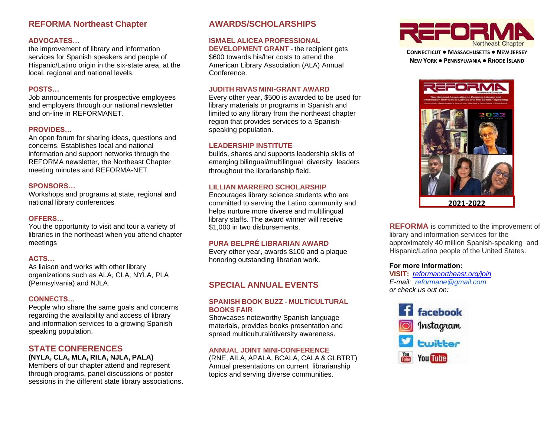## **REFORMA Northeast Chapter**

## **ADVOCATES…**

the improvement of library and information services for Spanish speakers and people of Hispanic/Latino origin in the six-state area, at the local, regional and national levels.

## **POSTS…**

Job announcements for prospective employees and employers through our national newsletter and on-line in REFORMANET.

## **PROVIDES…**

An open forum for sharing ideas, questions and concerns. Establishes local and national information and support networks through the REFORMA newsletter, the Northeast Chapter meeting minutes and REFORMA-NET.

## **SPONSORS…**

Workshops and programs at state, regional and national library conferences

### **OFFERS…**

You the opportunity to visit and tour a variety of libraries in the northeast when you attend chapter meetings

## **ACTS…**

As liaison and works with other library organizations such as ALA, CLA, NYLA, PLA (Pennsylvania) and NJLA.

## **CONNECTS…**

People who share the same goals and concerns regarding the availability and access of library and information services to a growing Spanish speaking population.

# **STATE CONFERENCES**

## **(NYLA, CLA, MLA, RILA, NJLA, PALA)**

Members of our chapter attend and represent through programs, panel discussions or poster sessions in the different state library associations.

## **AWARDS/SCHOLARSHIPS**

#### **ISMAEL ALICEA PROFESSIONAL**

**DEVELOPMENT GRANT -** the recipient gets \$600 towards his/her costs to attend the American Library Association (ALA) Annual Conference.

## **JUDITH RIVAS MINI-GRANT AWARD**

Every other year, \$500 is awarded to be used for library materials or programs in Spanish and limited to any library from the northeast chapter region that provides services to a Spanishspeaking population.

## **LEADERSHIP INSTITUTE**

builds, shares and supports leadership skills of emerging bilingual/multilingual diversity leaders throughout the librarianship field.

## **LILLIAN MARRERO SCHOLARSHIP**

Encourages library science students who are committed to serving the Latino community and helps nurture more diverse and multilingual library staffs. The award winner will receive \$1,000 in two disbursements.

## **PURA BELPRÉ LIBRARIAN AWARD**

Every other year, awards \$100 and a plaque honoring outstanding librarian work.

## **SPECIAL ANNUAL EVENTS**

### **SPANISH BOOK BUZZ - MULTICULTURAL BOOKS FAIR**

Showcases noteworthy Spanish language materials, provides books presentation and spread multicultural/diversity awareness.

#### **ANNUAL JOINT MINI-CONFERENCE**

(RNE, AILA, APALA, BCALA, CALA & GLBTRT) Annual presentations on current librarianship topics and serving diverse communities.



**CONNECTICUT ● MASSACHUSETTS ● NEW JERSEY NEW YORK ● PENNSYLVANIA ● RHODE ISLAND**



**REFORMA** is committed to the improvement of library and information services for the approximately 40 million Spanish-speaking and Hispanic/Latino people of the United States.

#### **For more information:**

**VISIT:** *[reformanortheast.org/join](https://www.reforma.org/join) E-mail: reformane@gmail.com or check us out on:*